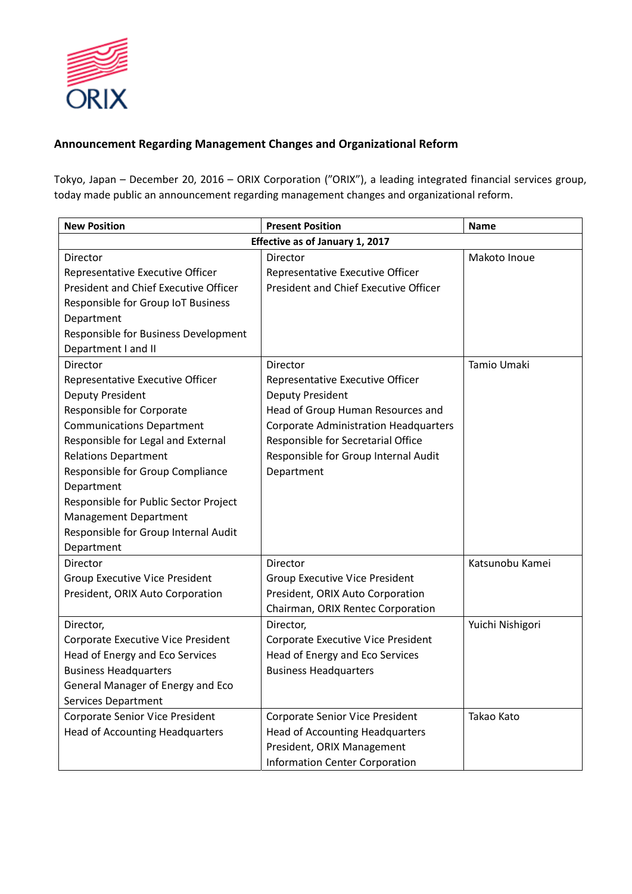

# **Announcement Regarding Management Changes and Organizational Reform**

Tokyo, Japan – December 20, 2016 – ORIX Corporation ("ORIX"), a leading integrated financial services group, today made public an announcement regarding management changes and organizational reform.

| <b>New Position</b>                    | <b>Present Position</b>                      | <b>Name</b>      |  |
|----------------------------------------|----------------------------------------------|------------------|--|
| Effective as of January 1, 2017        |                                              |                  |  |
| <b>Director</b>                        | Director                                     | Makoto Inoue     |  |
| Representative Executive Officer       | Representative Executive Officer             |                  |  |
| President and Chief Executive Officer  | President and Chief Executive Officer        |                  |  |
| Responsible for Group IoT Business     |                                              |                  |  |
| Department                             |                                              |                  |  |
| Responsible for Business Development   |                                              |                  |  |
| Department I and II                    |                                              |                  |  |
| <b>Director</b>                        | Director                                     | Tamio Umaki      |  |
| Representative Executive Officer       | Representative Executive Officer             |                  |  |
| Deputy President                       | Deputy President                             |                  |  |
| Responsible for Corporate              | Head of Group Human Resources and            |                  |  |
| <b>Communications Department</b>       | <b>Corporate Administration Headquarters</b> |                  |  |
| Responsible for Legal and External     | Responsible for Secretarial Office           |                  |  |
| <b>Relations Department</b>            | Responsible for Group Internal Audit         |                  |  |
| Responsible for Group Compliance       | Department                                   |                  |  |
| Department                             |                                              |                  |  |
| Responsible for Public Sector Project  |                                              |                  |  |
| <b>Management Department</b>           |                                              |                  |  |
| Responsible for Group Internal Audit   |                                              |                  |  |
| Department                             |                                              |                  |  |
| Director                               | Director                                     | Katsunobu Kamei  |  |
| <b>Group Executive Vice President</b>  | <b>Group Executive Vice President</b>        |                  |  |
| President, ORIX Auto Corporation       | President, ORIX Auto Corporation             |                  |  |
|                                        | Chairman, ORIX Rentec Corporation            |                  |  |
| Director,                              | Director,                                    | Yuichi Nishigori |  |
| Corporate Executive Vice President     | Corporate Executive Vice President           |                  |  |
| Head of Energy and Eco Services        | Head of Energy and Eco Services              |                  |  |
| <b>Business Headquarters</b>           | <b>Business Headquarters</b>                 |                  |  |
| General Manager of Energy and Eco      |                                              |                  |  |
| Services Department                    |                                              |                  |  |
| Corporate Senior Vice President        | Corporate Senior Vice President              | Takao Kato       |  |
| <b>Head of Accounting Headquarters</b> | <b>Head of Accounting Headquarters</b>       |                  |  |
|                                        | President, ORIX Management                   |                  |  |
|                                        | Information Center Corporation               |                  |  |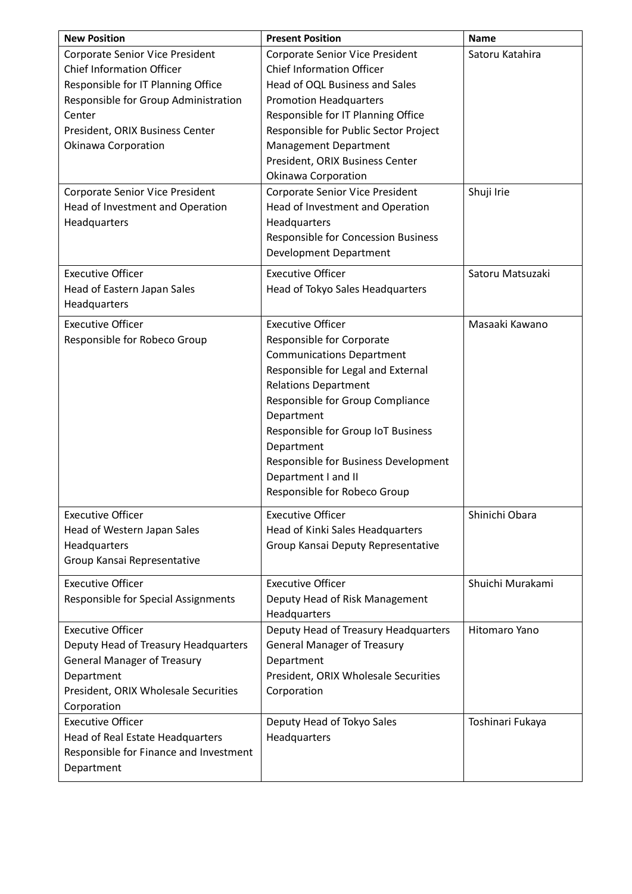| <b>New Position</b>                                                                                                                                                                                                                                             | <b>Present Position</b>                                                                                                                                                                                                                                                                                                                                             | <b>Name</b>                   |
|-----------------------------------------------------------------------------------------------------------------------------------------------------------------------------------------------------------------------------------------------------------------|---------------------------------------------------------------------------------------------------------------------------------------------------------------------------------------------------------------------------------------------------------------------------------------------------------------------------------------------------------------------|-------------------------------|
| Corporate Senior Vice President<br><b>Chief Information Officer</b><br>Responsible for IT Planning Office<br>Responsible for Group Administration<br>Center<br>President, ORIX Business Center<br>Okinawa Corporation<br><b>Corporate Senior Vice President</b> | Corporate Senior Vice President<br><b>Chief Information Officer</b><br>Head of OQL Business and Sales<br><b>Promotion Headquarters</b><br>Responsible for IT Planning Office<br>Responsible for Public Sector Project<br>Management Department<br>President, ORIX Business Center<br>Okinawa Corporation<br>Corporate Senior Vice President                         | Satoru Katahira<br>Shuji Irie |
| Head of Investment and Operation<br>Headquarters                                                                                                                                                                                                                | Head of Investment and Operation<br>Headquarters<br>Responsible for Concession Business<br><b>Development Department</b>                                                                                                                                                                                                                                            |                               |
| <b>Executive Officer</b><br>Head of Eastern Japan Sales<br>Headquarters                                                                                                                                                                                         | <b>Executive Officer</b><br>Head of Tokyo Sales Headquarters                                                                                                                                                                                                                                                                                                        | Satoru Matsuzaki              |
| <b>Executive Officer</b><br>Responsible for Robeco Group                                                                                                                                                                                                        | <b>Executive Officer</b><br>Responsible for Corporate<br><b>Communications Department</b><br>Responsible for Legal and External<br><b>Relations Department</b><br>Responsible for Group Compliance<br>Department<br>Responsible for Group IoT Business<br>Department<br>Responsible for Business Development<br>Department I and II<br>Responsible for Robeco Group | Masaaki Kawano                |
| <b>Executive Officer</b><br>Head of Western Japan Sales<br>Headquarters<br>Group Kansai Representative                                                                                                                                                          | <b>Executive Officer</b><br>Head of Kinki Sales Headquarters<br>Group Kansai Deputy Representative                                                                                                                                                                                                                                                                  | Shinichi Obara                |
| <b>Executive Officer</b><br>Responsible for Special Assignments                                                                                                                                                                                                 | <b>Executive Officer</b><br>Deputy Head of Risk Management<br>Headquarters                                                                                                                                                                                                                                                                                          | Shuichi Murakami              |
| <b>Executive Officer</b><br>Deputy Head of Treasury Headquarters<br><b>General Manager of Treasury</b><br>Department<br>President, ORIX Wholesale Securities<br>Corporation                                                                                     | Deputy Head of Treasury Headquarters<br><b>General Manager of Treasury</b><br>Department<br>President, ORIX Wholesale Securities<br>Corporation                                                                                                                                                                                                                     | Hitomaro Yano                 |
| <b>Executive Officer</b><br>Head of Real Estate Headquarters<br>Responsible for Finance and Investment<br>Department                                                                                                                                            | Deputy Head of Tokyo Sales<br>Headquarters                                                                                                                                                                                                                                                                                                                          | Toshinari Fukaya              |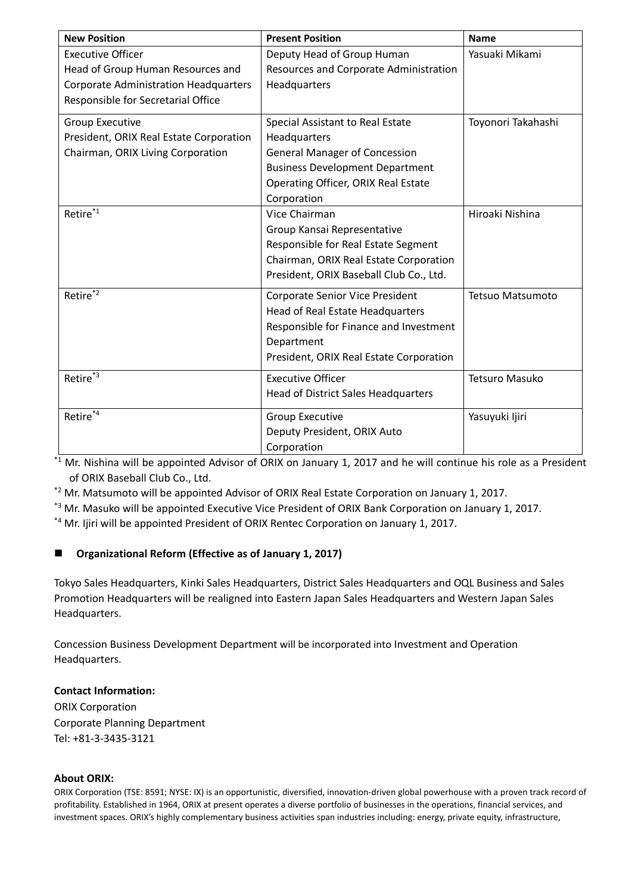| <b>New Position</b>                          | <b>Present Position</b>                    | <b>Name</b>           |
|----------------------------------------------|--------------------------------------------|-----------------------|
| <b>Executive Officer</b>                     | Deputy Head of Group Human                 | Yasuaki Mikami        |
| Head of Group Human Resources and            | Resources and Corporate Administration     |                       |
| <b>Corporate Administration Headquarters</b> | Headquarters                               |                       |
| Responsible for Secretarial Office           |                                            |                       |
| Group Executive                              | Special Assistant to Real Estate           | Toyonori Takahashi    |
| President, ORIX Real Estate Corporation      | Headquarters                               |                       |
| Chairman, ORIX Living Corporation            | <b>General Manager of Concession</b>       |                       |
|                                              | <b>Business Development Department</b>     |                       |
|                                              | Operating Officer, ORIX Real Estate        |                       |
|                                              | Corporation                                |                       |
| Retire*1                                     | Vice Chairman                              | Hiroaki Nishina       |
|                                              | Group Kansai Representative                |                       |
|                                              | Responsible for Real Estate Segment        |                       |
|                                              | Chairman, ORIX Real Estate Corporation     |                       |
|                                              | President, ORIX Baseball Club Co., Ltd.    |                       |
| Retire* <sup>2</sup>                         | <b>Corporate Senior Vice President</b>     | Tetsuo Matsumoto      |
|                                              | Head of Real Estate Headquarters           |                       |
|                                              | Responsible for Finance and Investment     |                       |
|                                              | Department                                 |                       |
|                                              | President, ORIX Real Estate Corporation    |                       |
| Retire*3                                     | <b>Executive Officer</b>                   | <b>Tetsuro Masuko</b> |
|                                              | <b>Head of District Sales Headquarters</b> |                       |
| Retire*4                                     | <b>Group Executive</b>                     | Yasuyuki Ijiri        |
|                                              | Deputy President, ORIX Auto                |                       |
|                                              | Corporation                                |                       |

 $*1$  Mr. Nishina will be appointed Advisor of ORIX on January 1, 2017 and he will continue his role as a President of ORIX Baseball Club Co., Ltd.

 $*$ <sup>2</sup> Mr. Matsumoto will be appointed Advisor of ORIX Real Estate Corporation on January 1, 2017.

\*3 Mr. Masuko will be appointed Executive Vice President of ORIX Bank Corporation on January 1, 2017.

\*4 Mr. Ijiri will be appointed President of ORIX Rentec Corporation on January 1, 2017.

## **Organizational Reform (Effective as of January 1, 2017)**

Tokyo Sales Headquarters, Kinki Sales Headquarters, District Sales Headquarters and OQL Business and Sales Promotion Headquarters will be realigned into Eastern Japan Sales Headquarters and Western Japan Sales Headquarters.

Concession Business Development Department will be incorporated into Investment and Operation Headquarters.

### **Contact Information:**

ORIX Corporation Corporate Planning Department Tel: +81‐3‐3435‐3121

#### **About ORIX:**

ORIX Corporation (TSE: 8591; NYSE: IX) is an opportunistic, diversified, innovation‐driven global powerhouse with a proven track record of profitability. Established in 1964, ORIX at present operates a diverse portfolio of businesses in the operations, financial services, and investment spaces. ORIX's highly complementary business activities span industries including: energy, private equity, infrastructure,